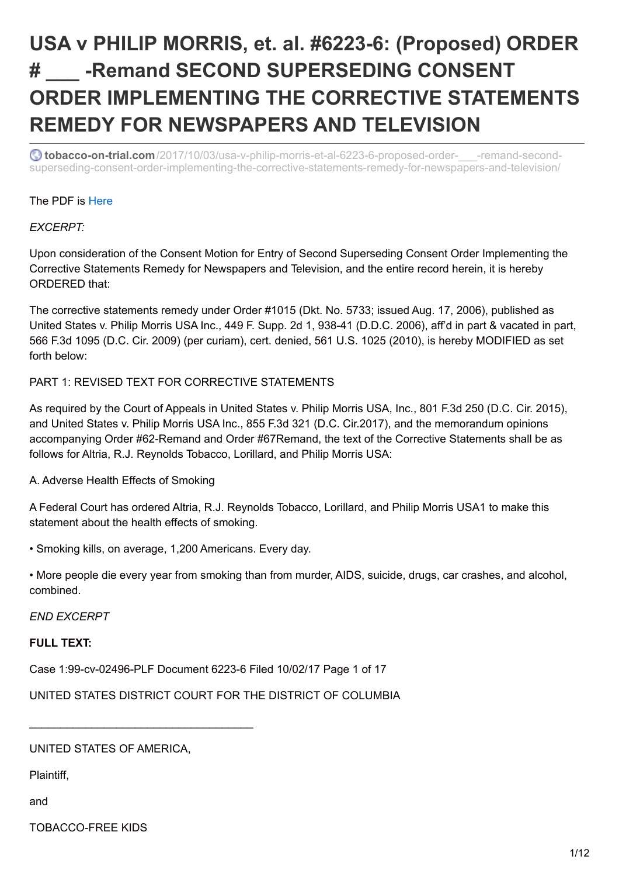# **USA v PHILIP MORRIS, et. al. #6223-6: (Proposed) ORDER # \_\_\_ -Remand SECOND SUPERSEDING CONSENT ORDER IMPLEMENTING THE CORRECTIVE STATEMENTS REMEDY FOR NEWSPAPERS AND TELEVISION**

**tobacco-on-trial.com**/2017/10/03/usa-v-philip-morris-et-al-6223-6-proposed-order-\_\_\_-remand-second[superseding-consent-order-implementing-the-corrective-statements-remedy-for-newspapers-and-television/](http://www.tobacco-on-trial.com/2017/10/03/usa-v-philip-morris-et-al-6223-6-proposed-order-___-remand-second-superseding-consent-order-implementing-the-corrective-statements-remedy-for-newspapers-and-television/)

#### The PDF is [Here](http://www.tobacco-on-trial.com/wp-content/uploaded/2017/10/20171002-doj-6223-6.pdf)

*EXCERPT:*

Upon consideration of the Consent Motion for Entry of Second Superseding Consent Order Implementing the Corrective Statements Remedy for Newspapers and Television, and the entire record herein, it is hereby ORDERED that:

The corrective statements remedy under Order #1015 (Dkt. No. 5733; issued Aug. 17, 2006), published as United States v. Philip Morris USA Inc., 449 F. Supp. 2d 1, 938-41 (D.D.C. 2006), aff'd in part & vacated in part, 566 F.3d 1095 (D.C. Cir. 2009) (per curiam), cert. denied, 561 U.S. 1025 (2010), is hereby MODIFIED as set forth below:

## PART 1: REVISED TEXT FOR CORRECTIVE STATEMENTS

As required by the Court of Appeals in United States v. Philip Morris USA, Inc., 801 F.3d 250 (D.C. Cir. 2015), and United States v. Philip Morris USA Inc., 855 F.3d 321 (D.C. Cir.2017), and the memorandum opinions accompanying Order #62-Remand and Order #67Remand, the text of the Corrective Statements shall be as follows for Altria, R.J. Reynolds Tobacco, Lorillard, and Philip Morris USA:

A. Adverse Health Effects of Smoking

A Federal Court has ordered Altria, R.J. Reynolds Tobacco, Lorillard, and Philip Morris USA1 to make this statement about the health effects of smoking.

• Smoking kills, on average, 1,200 Americans. Every day.

• More people die every year from smoking than from murder, AIDS, suicide, drugs, car crashes, and alcohol, combined.

*END EXCERPT*

#### **FULL TEXT:**

Case 1:99-cv-02496-PLF Document 6223-6 Filed 10/02/17 Page 1 of 17

UNITED STATES DISTRICT COURT FOR THE DISTRICT OF COLUMBIA

UNITED STATES OF AMERICA,

\_\_\_\_\_\_\_\_\_\_\_\_\_\_\_\_\_\_\_\_\_\_\_\_\_\_\_\_\_\_\_\_\_\_\_\_

Plaintiff,

and

TOBACCO-FREE KIDS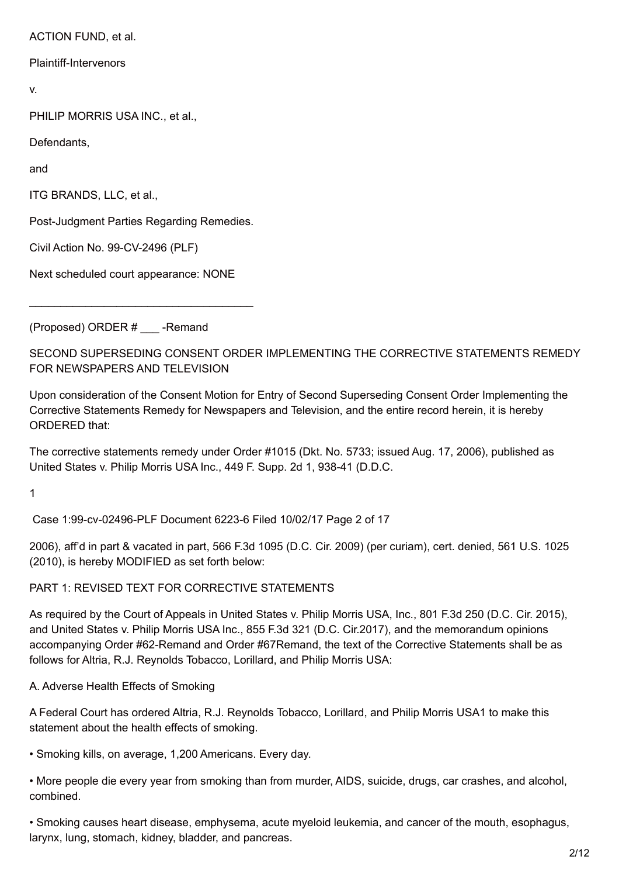# ACTION FUND, et al.

Plaintiff-Intervenors

v.

PHILIP MORRIS USA INC., et al.,

Defendants,

and

ITG BRANDS, LLC, et al.,

Post-Judgment Parties Regarding Remedies.

Civil Action No. 99-CV-2496 (PLF)

Next scheduled court appearance: NONE

\_\_\_\_\_\_\_\_\_\_\_\_\_\_\_\_\_\_\_\_\_\_\_\_\_\_\_\_\_\_\_\_\_\_\_\_

(Proposed) ORDER # - Remand

SECOND SUPERSEDING CONSENT ORDER IMPLEMENTING THE CORRECTIVE STATEMENTS REMEDY FOR NEWSPAPERS AND TELEVISION

Upon consideration of the Consent Motion for Entry of Second Superseding Consent Order Implementing the Corrective Statements Remedy for Newspapers and Television, and the entire record herein, it is hereby ORDERED that:

The corrective statements remedy under Order #1015 (Dkt. No. 5733; issued Aug. 17, 2006), published as United States v. Philip Morris USA Inc., 449 F. Supp. 2d 1, 938-41 (D.D.C.

1

Case 1:99-cv-02496-PLF Document 6223-6 Filed 10/02/17 Page 2 of 17

2006), aff'd in part & vacated in part, 566 F.3d 1095 (D.C. Cir. 2009) (per curiam), cert. denied, 561 U.S. 1025 (2010), is hereby MODIFIED as set forth below:

PART 1: REVISED TEXT FOR CORRECTIVE STATEMENTS

As required by the Court of Appeals in United States v. Philip Morris USA, Inc., 801 F.3d 250 (D.C. Cir. 2015), and United States v. Philip Morris USA Inc., 855 F.3d 321 (D.C. Cir.2017), and the memorandum opinions accompanying Order #62-Remand and Order #67Remand, the text of the Corrective Statements shall be as follows for Altria, R.J. Reynolds Tobacco, Lorillard, and Philip Morris USA:

## A. Adverse Health Effects of Smoking

A Federal Court has ordered Altria, R.J. Reynolds Tobacco, Lorillard, and Philip Morris USA1 to make this statement about the health effects of smoking.

• Smoking kills, on average, 1,200 Americans. Every day.

• More people die every year from smoking than from murder, AIDS, suicide, drugs, car crashes, and alcohol, combined.

• Smoking causes heart disease, emphysema, acute myeloid leukemia, and cancer of the mouth, esophagus, larynx, lung, stomach, kidney, bladder, and pancreas.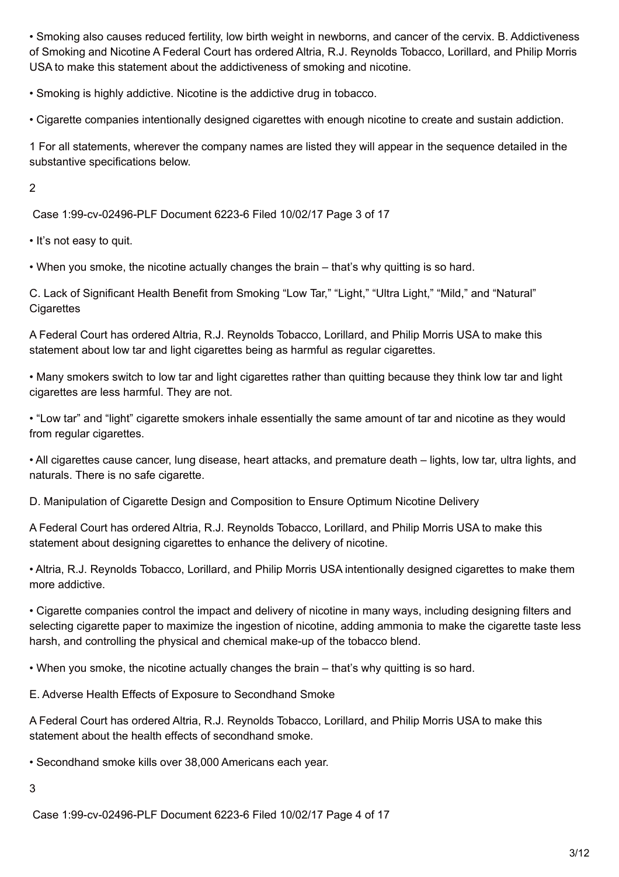• Smoking also causes reduced fertility, low birth weight in newborns, and cancer of the cervix. B. Addictiveness of Smoking and Nicotine A Federal Court has ordered Altria, R.J. Reynolds Tobacco, Lorillard, and Philip Morris USA to make this statement about the addictiveness of smoking and nicotine.

• Smoking is highly addictive. Nicotine is the addictive drug in tobacco.

• Cigarette companies intentionally designed cigarettes with enough nicotine to create and sustain addiction.

1 For all statements, wherever the company names are listed they will appear in the sequence detailed in the substantive specifications below.

2

Case 1:99-cv-02496-PLF Document 6223-6 Filed 10/02/17 Page 3 of 17

• It's not easy to quit.

• When you smoke, the nicotine actually changes the brain – that's why quitting is so hard.

C. Lack of Significant Health Benefit from Smoking "Low Tar," "Light," "Ultra Light," "Mild," and "Natural" **Cigarettes** 

A Federal Court has ordered Altria, R.J. Reynolds Tobacco, Lorillard, and Philip Morris USA to make this statement about low tar and light cigarettes being as harmful as regular cigarettes.

• Many smokers switch to low tar and light cigarettes rather than quitting because they think low tar and light cigarettes are less harmful. They are not.

• "Low tar" and "light" cigarette smokers inhale essentially the same amount of tar and nicotine as they would from regular cigarettes.

• All cigarettes cause cancer, lung disease, heart attacks, and premature death – lights, low tar, ultra lights, and naturals. There is no safe cigarette.

D. Manipulation of Cigarette Design and Composition to Ensure Optimum Nicotine Delivery

A Federal Court has ordered Altria, R.J. Reynolds Tobacco, Lorillard, and Philip Morris USA to make this statement about designing cigarettes to enhance the delivery of nicotine.

• Altria, R.J. Reynolds Tobacco, Lorillard, and Philip Morris USA intentionally designed cigarettes to make them more addictive.

• Cigarette companies control the impact and delivery of nicotine in many ways, including designing filters and selecting cigarette paper to maximize the ingestion of nicotine, adding ammonia to make the cigarette taste less harsh, and controlling the physical and chemical make-up of the tobacco blend.

• When you smoke, the nicotine actually changes the brain – that's why quitting is so hard.

E. Adverse Health Effects of Exposure to Secondhand Smoke

A Federal Court has ordered Altria, R.J. Reynolds Tobacco, Lorillard, and Philip Morris USA to make this statement about the health effects of secondhand smoke.

• Secondhand smoke kills over 38,000 Americans each year.

3

Case 1:99-cv-02496-PLF Document 6223-6 Filed 10/02/17 Page 4 of 17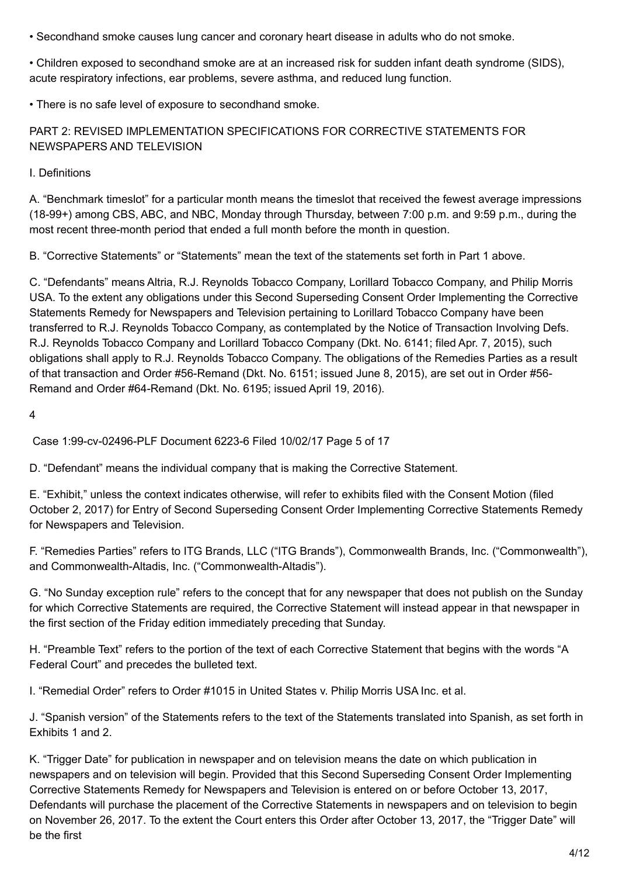• Secondhand smoke causes lung cancer and coronary heart disease in adults who do not smoke.

• Children exposed to secondhand smoke are at an increased risk for sudden infant death syndrome (SIDS), acute respiratory infections, ear problems, severe asthma, and reduced lung function.

• There is no safe level of exposure to secondhand smoke.

PART 2: REVISED IMPLEMENTATION SPECIFICATIONS FOR CORRECTIVE STATEMENTS FOR NEWSPAPERS AND TELEVISION

I. Definitions

A. "Benchmark timeslot" for a particular month means the timeslot that received the fewest average impressions (18-99+) among CBS, ABC, and NBC, Monday through Thursday, between 7:00 p.m. and 9:59 p.m., during the most recent three-month period that ended a full month before the month in question.

B. "Corrective Statements" or "Statements" mean the text of the statements set forth in Part 1 above.

C. "Defendants" means Altria, R.J. Reynolds Tobacco Company, Lorillard Tobacco Company, and Philip Morris USA. To the extent any obligations under this Second Superseding Consent Order Implementing the Corrective Statements Remedy for Newspapers and Television pertaining to Lorillard Tobacco Company have been transferred to R.J. Reynolds Tobacco Company, as contemplated by the Notice of Transaction Involving Defs. R.J. Reynolds Tobacco Company and Lorillard Tobacco Company (Dkt. No. 6141; filed Apr. 7, 2015), such obligations shall apply to R.J. Reynolds Tobacco Company. The obligations of the Remedies Parties as a result of that transaction and Order #56-Remand (Dkt. No. 6151; issued June 8, 2015), are set out in Order #56- Remand and Order #64-Remand (Dkt. No. 6195; issued April 19, 2016).

4

Case 1:99-cv-02496-PLF Document 6223-6 Filed 10/02/17 Page 5 of 17

D. "Defendant" means the individual company that is making the Corrective Statement.

E. "Exhibit," unless the context indicates otherwise, will refer to exhibits filed with the Consent Motion (filed October 2, 2017) for Entry of Second Superseding Consent Order Implementing Corrective Statements Remedy for Newspapers and Television.

F. "Remedies Parties" refers to ITG Brands, LLC ("ITG Brands"), Commonwealth Brands, Inc. ("Commonwealth"), and Commonwealth-Altadis, Inc. ("Commonwealth-Altadis").

G. "No Sunday exception rule" refers to the concept that for any newspaper that does not publish on the Sunday for which Corrective Statements are required, the Corrective Statement will instead appear in that newspaper in the first section of the Friday edition immediately preceding that Sunday.

H. "Preamble Text" refers to the portion of the text of each Corrective Statement that begins with the words "A Federal Court" and precedes the bulleted text.

I. "Remedial Order" refers to Order #1015 in United States v. Philip Morris USA Inc. et al.

J. "Spanish version" of the Statements refers to the text of the Statements translated into Spanish, as set forth in Exhibits 1 and 2.

K. "Trigger Date" for publication in newspaper and on television means the date on which publication in newspapers and on television will begin. Provided that this Second Superseding Consent Order Implementing Corrective Statements Remedy for Newspapers and Television is entered on or before October 13, 2017, Defendants will purchase the placement of the Corrective Statements in newspapers and on television to begin on November 26, 2017. To the extent the Court enters this Order after October 13, 2017, the "Trigger Date" will be the first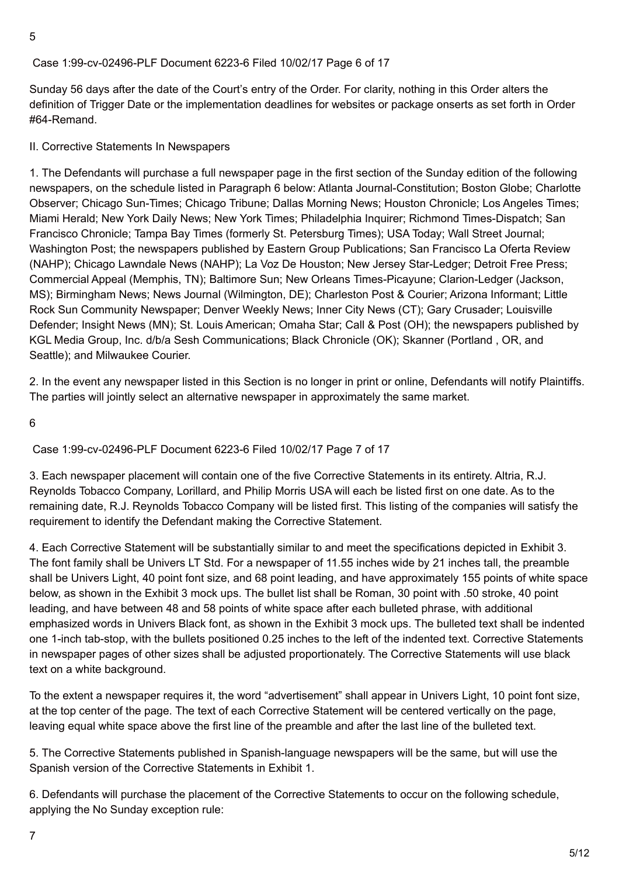## Case 1:99-cv-02496-PLF Document 6223-6 Filed 10/02/17 Page 6 of 17

Sunday 56 days after the date of the Court's entry of the Order. For clarity, nothing in this Order alters the definition of Trigger Date or the implementation deadlines for websites or package onserts as set forth in Order #64-Remand.

II. Corrective Statements In Newspapers

1. The Defendants will purchase a full newspaper page in the first section of the Sunday edition of the following newspapers, on the schedule listed in Paragraph 6 below: Atlanta Journal-Constitution; Boston Globe; Charlotte Observer; Chicago Sun-Times; Chicago Tribune; Dallas Morning News; Houston Chronicle; Los Angeles Times; Miami Herald; New York Daily News; New York Times; Philadelphia Inquirer; Richmond Times-Dispatch; San Francisco Chronicle; Tampa Bay Times (formerly St. Petersburg Times); USA Today; Wall Street Journal; Washington Post; the newspapers published by Eastern Group Publications; San Francisco La Oferta Review (NAHP); Chicago Lawndale News (NAHP); La Voz De Houston; New Jersey Star-Ledger; Detroit Free Press; Commercial Appeal (Memphis, TN); Baltimore Sun; New Orleans Times-Picayune; Clarion-Ledger (Jackson, MS); Birmingham News; News Journal (Wilmington, DE); Charleston Post & Courier; Arizona Informant; Little Rock Sun Community Newspaper; Denver Weekly News; Inner City News (CT); Gary Crusader; Louisville Defender; Insight News (MN); St. Louis American; Omaha Star; Call & Post (OH); the newspapers published by KGL Media Group, Inc. d/b/a Sesh Communications; Black Chronicle (OK); Skanner (Portland , OR, and Seattle); and Milwaukee Courier.

2. In the event any newspaper listed in this Section is no longer in print or online, Defendants will notify Plaintiffs. The parties will jointly select an alternative newspaper in approximately the same market.

6

## Case 1:99-cv-02496-PLF Document 6223-6 Filed 10/02/17 Page 7 of 17

3. Each newspaper placement will contain one of the five Corrective Statements in its entirety. Altria, R.J. Reynolds Tobacco Company, Lorillard, and Philip Morris USA will each be listed first on one date. As to the remaining date, R.J. Reynolds Tobacco Company will be listed first. This listing of the companies will satisfy the requirement to identify the Defendant making the Corrective Statement.

4. Each Corrective Statement will be substantially similar to and meet the specifications depicted in Exhibit 3. The font family shall be Univers LT Std. For a newspaper of 11.55 inches wide by 21 inches tall, the preamble shall be Univers Light, 40 point font size, and 68 point leading, and have approximately 155 points of white space below, as shown in the Exhibit 3 mock ups. The bullet list shall be Roman, 30 point with .50 stroke, 40 point leading, and have between 48 and 58 points of white space after each bulleted phrase, with additional emphasized words in Univers Black font, as shown in the Exhibit 3 mock ups. The bulleted text shall be indented one 1-inch tab-stop, with the bullets positioned 0.25 inches to the left of the indented text. Corrective Statements in newspaper pages of other sizes shall be adjusted proportionately. The Corrective Statements will use black text on a white background.

To the extent a newspaper requires it, the word "advertisement" shall appear in Univers Light, 10 point font size, at the top center of the page. The text of each Corrective Statement will be centered vertically on the page, leaving equal white space above the first line of the preamble and after the last line of the bulleted text.

5. The Corrective Statements published in Spanish-language newspapers will be the same, but will use the Spanish version of the Corrective Statements in Exhibit 1.

6. Defendants will purchase the placement of the Corrective Statements to occur on the following schedule, applying the No Sunday exception rule: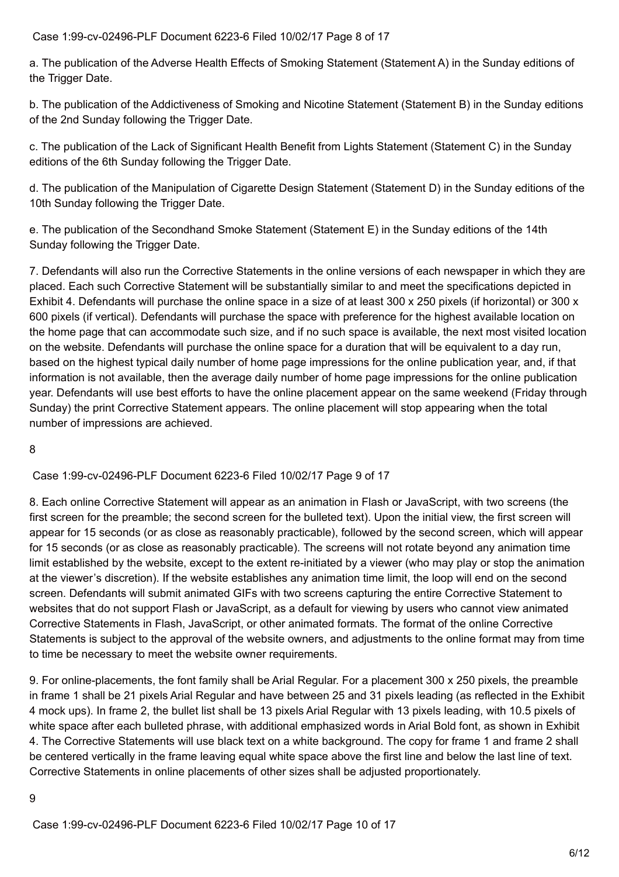Case 1:99-cv-02496-PLF Document 6223-6 Filed 10/02/17 Page 8 of 17

a. The publication of the Adverse Health Effects of Smoking Statement (Statement A) in the Sunday editions of the Trigger Date.

b. The publication of the Addictiveness of Smoking and Nicotine Statement (Statement B) in the Sunday editions of the 2nd Sunday following the Trigger Date.

c. The publication of the Lack of Significant Health Benefit from Lights Statement (Statement C) in the Sunday editions of the 6th Sunday following the Trigger Date.

d. The publication of the Manipulation of Cigarette Design Statement (Statement D) in the Sunday editions of the 10th Sunday following the Trigger Date.

e. The publication of the Secondhand Smoke Statement (Statement E) in the Sunday editions of the 14th Sunday following the Trigger Date.

7. Defendants will also run the Corrective Statements in the online versions of each newspaper in which they are placed. Each such Corrective Statement will be substantially similar to and meet the specifications depicted in Exhibit 4. Defendants will purchase the online space in a size of at least 300 x 250 pixels (if horizontal) or 300 x 600 pixels (if vertical). Defendants will purchase the space with preference for the highest available location on the home page that can accommodate such size, and if no such space is available, the next most visited location on the website. Defendants will purchase the online space for a duration that will be equivalent to a day run, based on the highest typical daily number of home page impressions for the online publication year, and, if that information is not available, then the average daily number of home page impressions for the online publication year. Defendants will use best efforts to have the online placement appear on the same weekend (Friday through Sunday) the print Corrective Statement appears. The online placement will stop appearing when the total number of impressions are achieved.

8

Case 1:99-cv-02496-PLF Document 6223-6 Filed 10/02/17 Page 9 of 17

8. Each online Corrective Statement will appear as an animation in Flash or JavaScript, with two screens (the first screen for the preamble; the second screen for the bulleted text). Upon the initial view, the first screen will appear for 15 seconds (or as close as reasonably practicable), followed by the second screen, which will appear for 15 seconds (or as close as reasonably practicable). The screens will not rotate beyond any animation time limit established by the website, except to the extent re-initiated by a viewer (who may play or stop the animation at the viewer's discretion). If the website establishes any animation time limit, the loop will end on the second screen. Defendants will submit animated GIFs with two screens capturing the entire Corrective Statement to websites that do not support Flash or JavaScript, as a default for viewing by users who cannot view animated Corrective Statements in Flash, JavaScript, or other animated formats. The format of the online Corrective Statements is subject to the approval of the website owners, and adjustments to the online format may from time to time be necessary to meet the website owner requirements.

9. For online-placements, the font family shall be Arial Regular. For a placement 300 x 250 pixels, the preamble in frame 1 shall be 21 pixels Arial Regular and have between 25 and 31 pixels leading (as reflected in the Exhibit 4 mock ups). In frame 2, the bullet list shall be 13 pixels Arial Regular with 13 pixels leading, with 10.5 pixels of white space after each bulleted phrase, with additional emphasized words in Arial Bold font, as shown in Exhibit 4. The Corrective Statements will use black text on a white background. The copy for frame 1 and frame 2 shall be centered vertically in the frame leaving equal white space above the first line and below the last line of text. Corrective Statements in online placements of other sizes shall be adjusted proportionately.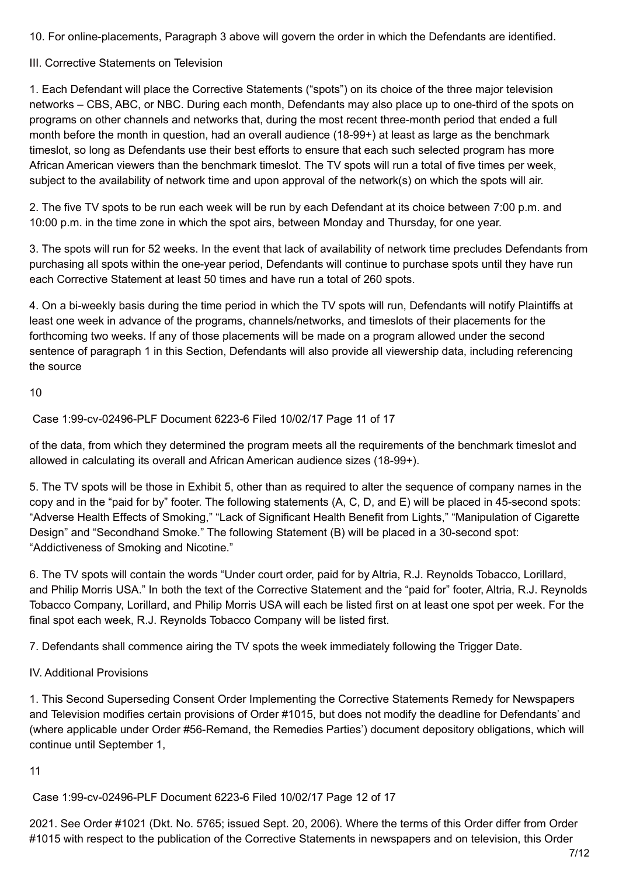10. For online-placements, Paragraph 3 above will govern the order in which the Defendants are identified.

# III. Corrective Statements on Television

1. Each Defendant will place the Corrective Statements ("spots") on its choice of the three major television networks – CBS, ABC, or NBC. During each month, Defendants may also place up to one-third of the spots on programs on other channels and networks that, during the most recent three-month period that ended a full month before the month in question, had an overall audience (18-99+) at least as large as the benchmark timeslot, so long as Defendants use their best efforts to ensure that each such selected program has more African American viewers than the benchmark timeslot. The TV spots will run a total of five times per week, subject to the availability of network time and upon approval of the network(s) on which the spots will air.

2. The five TV spots to be run each week will be run by each Defendant at its choice between 7:00 p.m. and 10:00 p.m. in the time zone in which the spot airs, between Monday and Thursday, for one year.

3. The spots will run for 52 weeks. In the event that lack of availability of network time precludes Defendants from purchasing all spots within the one-year period, Defendants will continue to purchase spots until they have run each Corrective Statement at least 50 times and have run a total of 260 spots.

4. On a bi-weekly basis during the time period in which the TV spots will run, Defendants will notify Plaintiffs at least one week in advance of the programs, channels/networks, and timeslots of their placements for the forthcoming two weeks. If any of those placements will be made on a program allowed under the second sentence of paragraph 1 in this Section, Defendants will also provide all viewership data, including referencing the source

## 10

# Case 1:99-cv-02496-PLF Document 6223-6 Filed 10/02/17 Page 11 of 17

of the data, from which they determined the program meets all the requirements of the benchmark timeslot and allowed in calculating its overall and African American audience sizes (18-99+).

5. The TV spots will be those in Exhibit 5, other than as required to alter the sequence of company names in the copy and in the "paid for by" footer. The following statements (A, C, D, and E) will be placed in 45-second spots: "Adverse Health Effects of Smoking," "Lack of Significant Health Benefit from Lights," "Manipulation of Cigarette Design" and "Secondhand Smoke." The following Statement (B) will be placed in a 30-second spot: "Addictiveness of Smoking and Nicotine."

6. The TV spots will contain the words "Under court order, paid for by Altria, R.J. Reynolds Tobacco, Lorillard, and Philip Morris USA." In both the text of the Corrective Statement and the "paid for" footer, Altria, R.J. Reynolds Tobacco Company, Lorillard, and Philip Morris USA will each be listed first on at least one spot per week. For the final spot each week, R.J. Reynolds Tobacco Company will be listed first.

7. Defendants shall commence airing the TV spots the week immediately following the Trigger Date.

# IV. Additional Provisions

1. This Second Superseding Consent Order Implementing the Corrective Statements Remedy for Newspapers and Television modifies certain provisions of Order #1015, but does not modify the deadline for Defendants' and (where applicable under Order #56-Remand, the Remedies Parties') document depository obligations, which will continue until September 1,

11

Case 1:99-cv-02496-PLF Document 6223-6 Filed 10/02/17 Page 12 of 17

2021. See Order #1021 (Dkt. No. 5765; issued Sept. 20, 2006). Where the terms of this Order differ from Order #1015 with respect to the publication of the Corrective Statements in newspapers and on television, this Order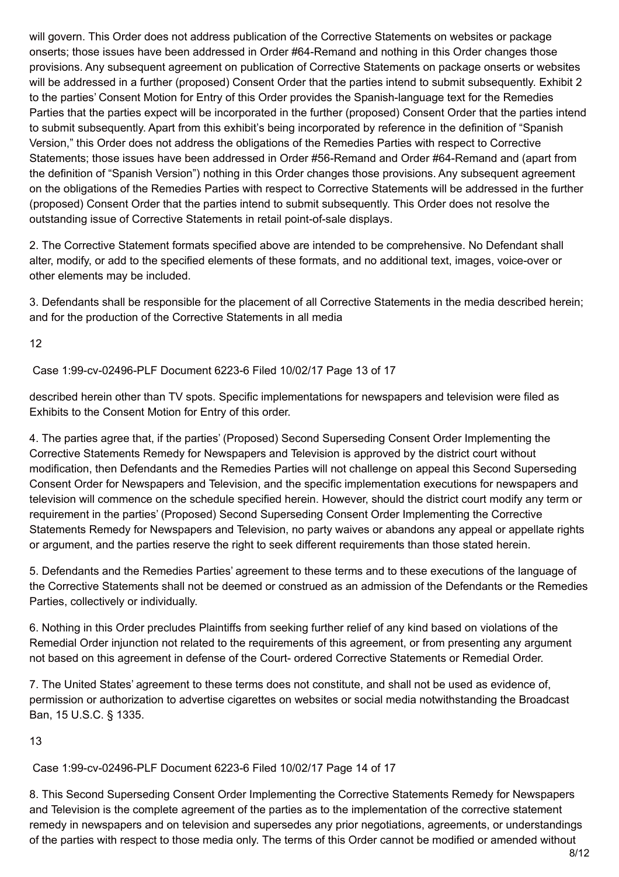will govern. This Order does not address publication of the Corrective Statements on websites or package onserts; those issues have been addressed in Order #64-Remand and nothing in this Order changes those provisions. Any subsequent agreement on publication of Corrective Statements on package onserts or websites will be addressed in a further (proposed) Consent Order that the parties intend to submit subsequently. Exhibit 2 to the parties' Consent Motion for Entry of this Order provides the Spanish-language text for the Remedies Parties that the parties expect will be incorporated in the further (proposed) Consent Order that the parties intend to submit subsequently. Apart from this exhibit's being incorporated by reference in the definition of "Spanish Version," this Order does not address the obligations of the Remedies Parties with respect to Corrective Statements; those issues have been addressed in Order #56-Remand and Order #64-Remand and (apart from the definition of "Spanish Version") nothing in this Order changes those provisions. Any subsequent agreement on the obligations of the Remedies Parties with respect to Corrective Statements will be addressed in the further (proposed) Consent Order that the parties intend to submit subsequently. This Order does not resolve the outstanding issue of Corrective Statements in retail point-of-sale displays.

2. The Corrective Statement formats specified above are intended to be comprehensive. No Defendant shall alter, modify, or add to the specified elements of these formats, and no additional text, images, voice-over or other elements may be included.

3. Defendants shall be responsible for the placement of all Corrective Statements in the media described herein; and for the production of the Corrective Statements in all media

12

Case 1:99-cv-02496-PLF Document 6223-6 Filed 10/02/17 Page 13 of 17

described herein other than TV spots. Specific implementations for newspapers and television were filed as Exhibits to the Consent Motion for Entry of this order.

4. The parties agree that, if the parties' (Proposed) Second Superseding Consent Order Implementing the Corrective Statements Remedy for Newspapers and Television is approved by the district court without modification, then Defendants and the Remedies Parties will not challenge on appeal this Second Superseding Consent Order for Newspapers and Television, and the specific implementation executions for newspapers and television will commence on the schedule specified herein. However, should the district court modify any term or requirement in the parties' (Proposed) Second Superseding Consent Order Implementing the Corrective Statements Remedy for Newspapers and Television, no party waives or abandons any appeal or appellate rights or argument, and the parties reserve the right to seek different requirements than those stated herein.

5. Defendants and the Remedies Parties' agreement to these terms and to these executions of the language of the Corrective Statements shall not be deemed or construed as an admission of the Defendants or the Remedies Parties, collectively or individually.

6. Nothing in this Order precludes Plaintiffs from seeking further relief of any kind based on violations of the Remedial Order injunction not related to the requirements of this agreement, or from presenting any argument not based on this agreement in defense of the Court- ordered Corrective Statements or Remedial Order.

7. The United States' agreement to these terms does not constitute, and shall not be used as evidence of, permission or authorization to advertise cigarettes on websites or social media notwithstanding the Broadcast Ban, 15 U.S.C. § 1335.

13

Case 1:99-cv-02496-PLF Document 6223-6 Filed 10/02/17 Page 14 of 17

8. This Second Superseding Consent Order Implementing the Corrective Statements Remedy for Newspapers and Television is the complete agreement of the parties as to the implementation of the corrective statement remedy in newspapers and on television and supersedes any prior negotiations, agreements, or understandings of the parties with respect to those media only. The terms of this Order cannot be modified or amended without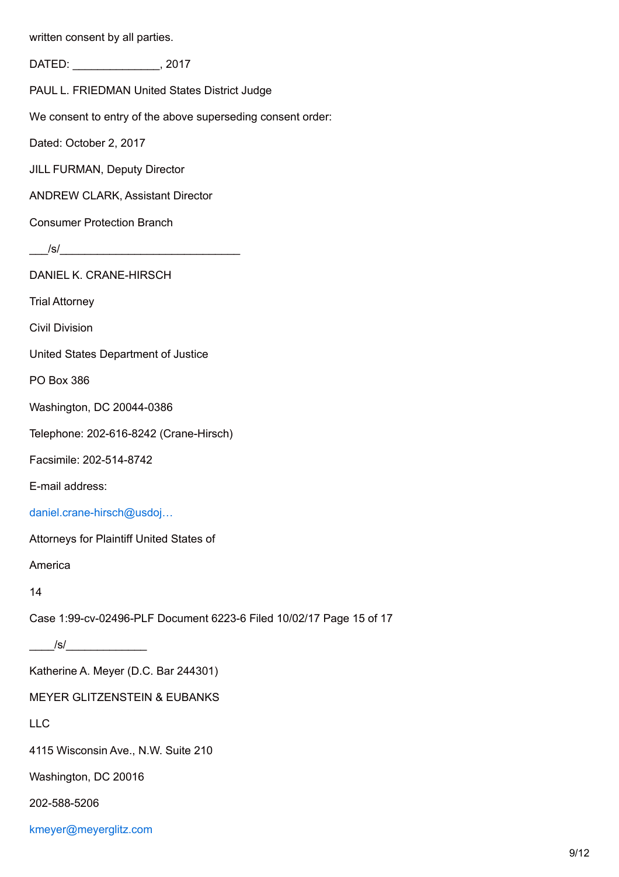written consent by all parties.

DATED: \_\_\_\_\_\_\_\_\_\_\_\_\_\_, 2017

PAUL L. FRIEDMAN United States District Judge

We consent to entry of the above superseding consent order:

Dated: October 2, 2017

JILL FURMAN, Deputy Director

ANDREW CLARK, Assistant Director

Consumer Protection Branch

 $\frac{1}{s}$  /s/  $\frac{1}{s}$ 

DANIEL K. CRANE-HIRSCH

Trial Attorney

Civil Division

United States Department of Justice

PO Box 386

Washington, DC 20044-0386

Telephone: 202-616-8242 (Crane-Hirsch)

Facsimile: 202-514-8742

E-mail address:

[daniel.crane-hirsch@usdoj…](mailto:daniel.crane-hirsch@usdoj.gov)

Attorneys for Plaintiff United States of

America

14

Case 1:99-cv-02496-PLF Document 6223-6 Filed 10/02/17 Page 15 of 17

 $/s/$ 

Katherine A. Meyer (D.C. Bar 244301)

MEYER GLITZENSTEIN & EUBANKS

LLC

4115 Wisconsin Ave., N.W. Suite 210

Washington, DC 20016

202-588-5206

[kmeyer@meyerglitz.com](mailto:kmeyer@meyerglitz.com)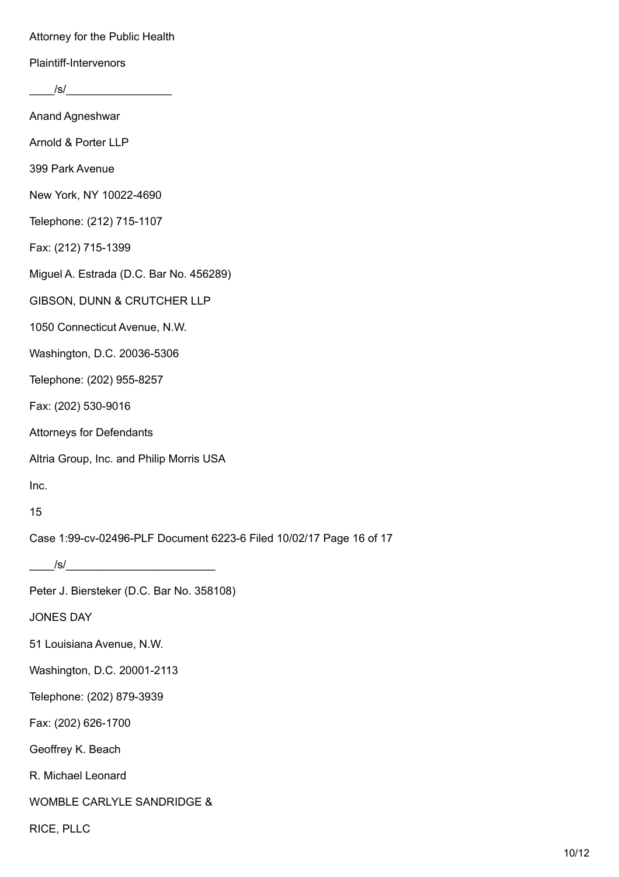#### Attorney for the Public Health

#### Plaintiff-Intervenors

 $/s/$ 

Anand Agneshwar

Arnold & Porter LLP

399 Park Avenue

New York, NY 10022-4690

Telephone: (212) 715-1107

Fax: (212) 715-1399

Miguel A. Estrada (D.C. Bar No. 456289)

GIBSON, DUNN & CRUTCHER LLP

1050 Connecticut Avenue, N.W.

Washington, D.C. 20036-5306

Telephone: (202) 955-8257

Fax: (202) 530-9016

Attorneys for Defendants

Altria Group, Inc. and Philip Morris USA

Inc.

15

Case 1:99-cv-02496-PLF Document 6223-6 Filed 10/02/17 Page 16 of 17

 $/\mathsf{s}/\mathsf{I}$ 

Peter J. Biersteker (D.C. Bar No. 358108)

JONES DAY

51 Louisiana Avenue, N.W.

Washington, D.C. 20001-2113

Telephone: (202) 879-3939

Fax: (202) 626-1700

Geoffrey K. Beach

R. Michael Leonard

WOMBLE CARLYLE SANDRIDGE &

RICE, PLLC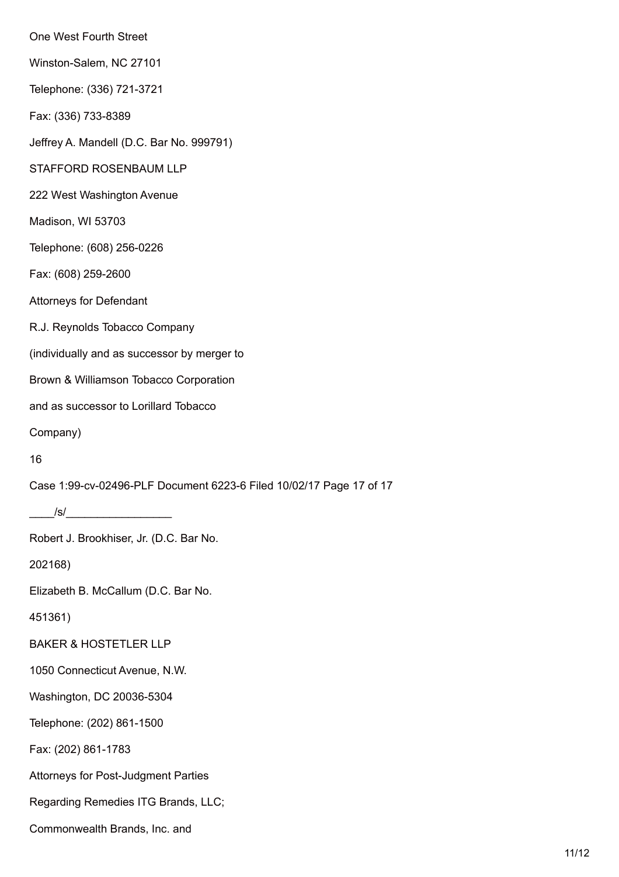One West Fourth Street Winston-Salem, NC 27101 Telephone: (336) 721-3721 Fax: (336) 733-8389 Jeffrey A. Mandell (D.C. Bar No. 999791) STAFFORD ROSENBAUM LLP 222 West Washington Avenue Madison, WI 53703 Telephone: (608) 256-0226 Fax: (608) 259-2600 Attorneys for Defendant R.J. Reynolds Tobacco Company (individually and as successor by merger to Brown & Williamson Tobacco Corporation and as successor to Lorillard Tobacco Company) 16 Case 1:99-cv-02496-PLF Document 6223-6 Filed 10/02/17 Page 17 of 17 \_\_\_\_/s/\_\_\_\_\_\_\_\_\_\_\_\_\_\_\_\_\_ Robert J. Brookhiser, Jr. (D.C. Bar No. 202168) Elizabeth B. McCallum (D.C. Bar No. 451361) BAKER & HOSTETLER LLP 1050 Connecticut Avenue, N.W. Washington, DC 20036-5304 Telephone: (202) 861-1500 Fax: (202) 861-1783 Attorneys for Post-Judgment Parties Regarding Remedies ITG Brands, LLC; Commonwealth Brands, Inc. and